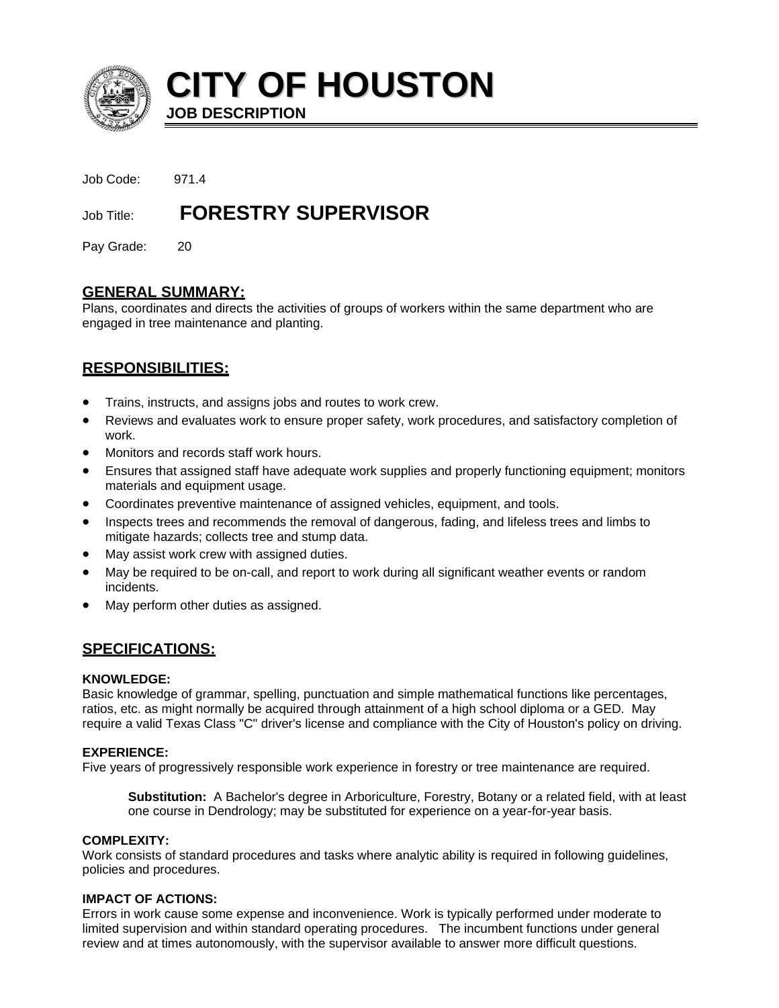

**CITY OF HOUSTON JOB DESCRIPTION**

| Job Code:  | 971.4                      |
|------------|----------------------------|
| Job Title: | <b>FORESTRY SUPERVISOR</b> |

Pay Grade: 20

## **GENERAL SUMMARY:**

Plans, coordinates and directs the activities of groups of workers within the same department who are engaged in tree maintenance and planting.

# **RESPONSIBILITIES:**

- Trains, instructs, and assigns jobs and routes to work crew.
- Reviews and evaluates work to ensure proper safety, work procedures, and satisfactory completion of work.
- Monitors and records staff work hours.
- Ensures that assigned staff have adequate work supplies and properly functioning equipment; monitors materials and equipment usage.
- Coordinates preventive maintenance of assigned vehicles, equipment, and tools.
- Inspects trees and recommends the removal of dangerous, fading, and lifeless trees and limbs to mitigate hazards; collects tree and stump data.
- May assist work crew with assigned duties.
- May be required to be on-call, and report to work during all significant weather events or random incidents.
- May perform other duties as assigned.

## **SPECIFICATIONS:**

#### **KNOWLEDGE:**

Basic knowledge of grammar, spelling, punctuation and simple mathematical functions like percentages, ratios, etc. as might normally be acquired through attainment of a high school diploma or a GED. May require a valid Texas Class "C" driver's license and compliance with the City of Houston's policy on driving.

## **EXPERIENCE:**

Five years of progressively responsible work experience in forestry or tree maintenance are required.

**Substitution:** A Bachelor's degree in Arboriculture, Forestry, Botany or a related field, with at least one course in Dendrology; may be substituted for experience on a year-for-year basis.

#### **COMPLEXITY:**

Work consists of standard procedures and tasks where analytic ability is required in following guidelines, policies and procedures.

## **IMPACT OF ACTIONS:**

Errors in work cause some expense and inconvenience. Work is typically performed under moderate to limited supervision and within standard operating procedures. The incumbent functions under general review and at times autonomously, with the supervisor available to answer more difficult questions.